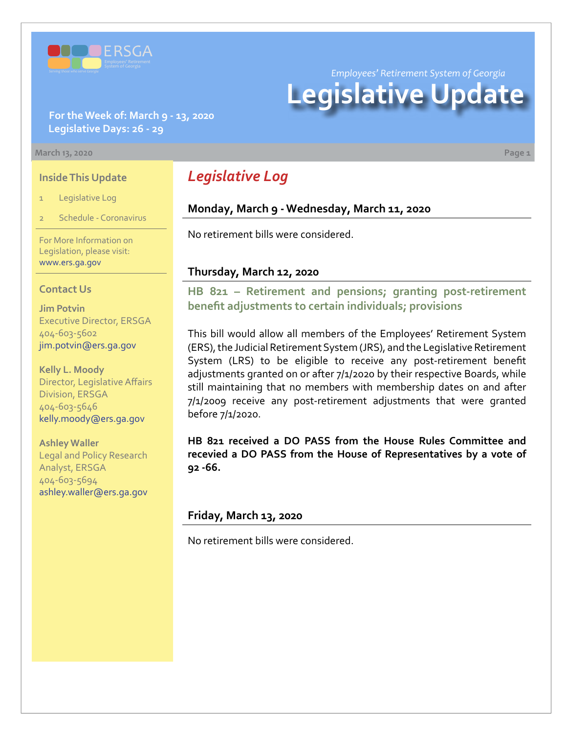

*Employees' Retirement System of Georgia*

# **Legislative Update**

## **For the Week of: March 9 - 13, 2020 Legislative Days: 26 - 29**

#### **March 13, 2020 Page 1**

### **Inside This Update**

- 1 Legislative Log
- Schedule Coronavirus

For More Information on Legislation, please visit: [www.ers.ga.gov](http://www.ers.ga.gov/default.aspx)

### **Contact Us**

**Jim Potvin** Executive Director, ERSGA 404-603-5602 jim.potvin@ers.ga.gov

**Kelly L. Moody** Director, Legislative Affairs Division, ERSGA 404-603-5646 kelly.moody@ers.ga.gov

**Ashley Waller** Legal and Policy Research Analyst, ERSGA 404-603-5694 ashley.waller@ers.ga.gov

# *Legislative Log*

# **Monday, March 9 - Wednesday, March 11, 2020**

No retirement bills were considered.

### **Thursday, March 12, 2020**

**[HB 821 – Retirement and pensions; granting post-retirement](http://www.legis.ga.gov/legislation/en-US/Display/20192020/HB/821)  benefit adjustments to certain individuals; provisions**

This bill would allow all members of the Employees' Retirement System (ERS), the Judicial Retirement System (JRS), and the Legislative Retirement System (LRS) to be eligible to receive any post-retirement benefit adjustments granted on or after 7/1/2020 by their respective Boards, while still maintaining that no members with membership dates on and after 7/1/2009 receive any post-retirement adjustments that were granted before 7/1/2020.

**HB 821 received a DO PASS from the House Rules Committee and recevied a DO PASS from the House of Representatives by a vote of 92 -66.**

### **Friday, March 13, 2020**

No retirement bills were considered.